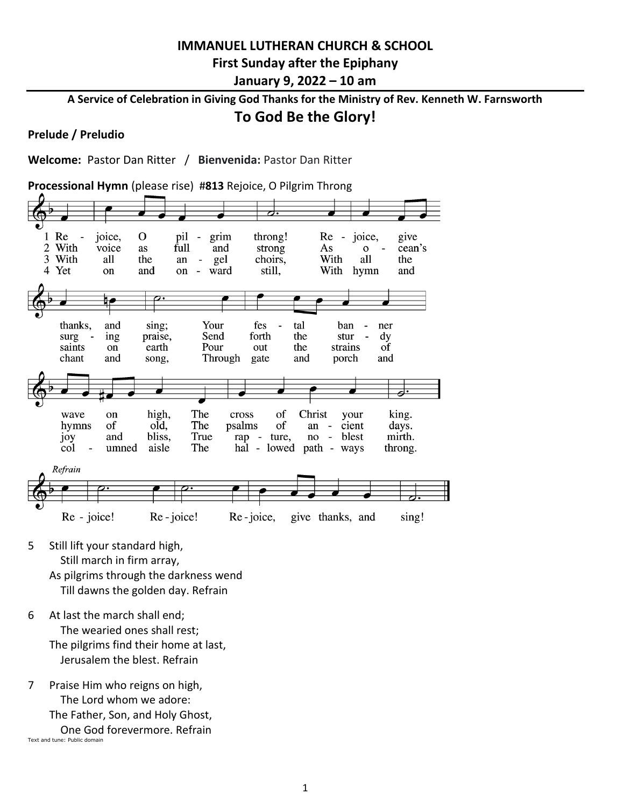# **IMMANUEL LUTHERAN CHURCH & SCHOOL First Sunday after the Epiphany January 9, 2022 – 10 am**

**A Service of Celebration in Giving God Thanks for the Ministry of Rev. Kenneth W. Farnsworth**

# **To God Be the Glory!**

### **Prelude / Preludio**

**Welcome:** Pastor Dan Ritter / **Bienvenida:** Pastor Dan Ritter

**Processional Hymn** (please rise) #**813** Rejoice, O Pilgrim Throng



- 5 Still lift your standard high, Still march in firm array, As pilgrims through the darkness wend Till dawns the golden day. Refrain
- 6 At last the march shall end; The wearied ones shall rest; The pilgrims find their home at last, Jerusalem the blest. Refrain
- 7 Praise Him who reigns on high, The Lord whom we adore: The Father, Son, and Holy Ghost, One God forevermore. Refrain Text and tune: Public domain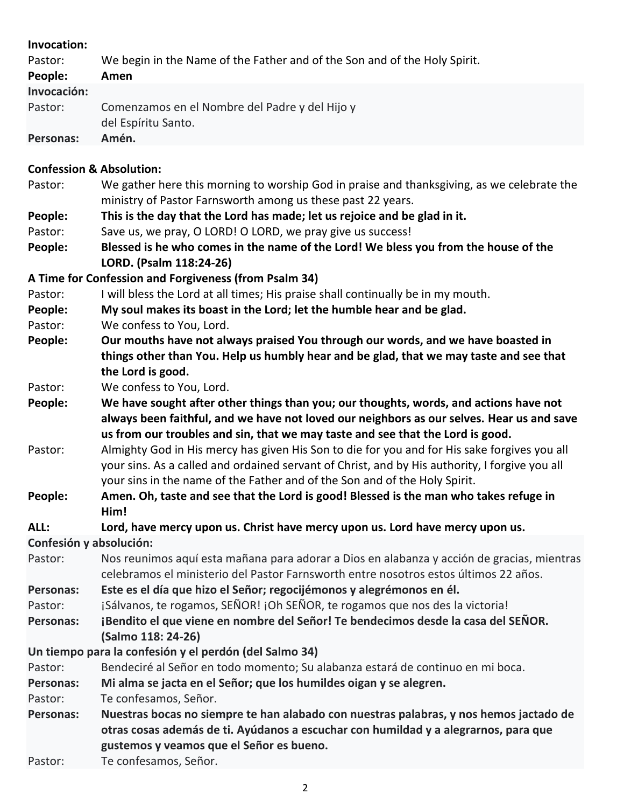| Invocation:                                    |                                                                                                                                                                               |
|------------------------------------------------|-------------------------------------------------------------------------------------------------------------------------------------------------------------------------------|
| Pastor:                                        | We begin in the Name of the Father and of the Son and of the Holy Spirit.                                                                                                     |
| People:                                        | Amen                                                                                                                                                                          |
| Invocación:                                    |                                                                                                                                                                               |
| Pastor:                                        | Comenzamos en el Nombre del Padre y del Hijo y<br>del Espíritu Santo.                                                                                                         |
| Personas:                                      | Amén.                                                                                                                                                                         |
|                                                |                                                                                                                                                                               |
| <b>Confession &amp; Absolution:</b><br>Pastor: |                                                                                                                                                                               |
|                                                | We gather here this morning to worship God in praise and thanksgiving, as we celebrate the                                                                                    |
|                                                | ministry of Pastor Farnsworth among us these past 22 years.<br>This is the day that the Lord has made; let us rejoice and be glad in it.                                      |
| People:<br>Pastor:                             | Save us, we pray, O LORD! O LORD, we pray give us success!                                                                                                                    |
| People:                                        | Blessed is he who comes in the name of the Lord! We bless you from the house of the                                                                                           |
|                                                | LORD. (Psalm 118:24-26)                                                                                                                                                       |
|                                                | A Time for Confession and Forgiveness (from Psalm 34)                                                                                                                         |
| Pastor:                                        | I will bless the Lord at all times; His praise shall continually be in my mouth.                                                                                              |
| People:                                        | My soul makes its boast in the Lord; let the humble hear and be glad.                                                                                                         |
| Pastor:                                        | We confess to You, Lord.                                                                                                                                                      |
| People:                                        | Our mouths have not always praised You through our words, and we have boasted in                                                                                              |
|                                                | things other than You. Help us humbly hear and be glad, that we may taste and see that                                                                                        |
|                                                | the Lord is good.                                                                                                                                                             |
| Pastor:                                        | We confess to You, Lord.                                                                                                                                                      |
| People:                                        | We have sought after other things than you; our thoughts, words, and actions have not                                                                                         |
|                                                | always been faithful, and we have not loved our neighbors as our selves. Hear us and save                                                                                     |
|                                                | us from our troubles and sin, that we may taste and see that the Lord is good.                                                                                                |
| Pastor:                                        | Almighty God in His mercy has given His Son to die for you and for His sake forgives you all                                                                                  |
|                                                | your sins. As a called and ordained servant of Christ, and by His authority, I forgive you all                                                                                |
|                                                | your sins in the name of the Father and of the Son and of the Holy Spirit.                                                                                                    |
| People:                                        | Amen. Oh, taste and see that the Lord is good! Blessed is the man who takes refuge in                                                                                         |
|                                                | Him!                                                                                                                                                                          |
| ALL:                                           | Lord, have mercy upon us. Christ have mercy upon us. Lord have mercy upon us.                                                                                                 |
| Confesión y absolución:                        |                                                                                                                                                                               |
| Pastor:                                        | Nos reunimos aquí esta mañana para adorar a Dios en alabanza y acción de gracias, mientras                                                                                    |
|                                                | celebramos el ministerio del Pastor Farnsworth entre nosotros estos últimos 22 años.                                                                                          |
| <b>Personas:</b>                               | Este es el día que hizo el Señor; regocijémonos y alegrémonos en él.                                                                                                          |
| Pastor:                                        | ¡Sálvanos, te rogamos, SEÑOR! ¡Oh SEÑOR, te rogamos que nos des la victoria!                                                                                                  |
| <b>Personas:</b>                               | ¡Bendito el que viene en nombre del Señor! Te bendecimos desde la casa del SEÑOR.<br>(Salmo 118: 24-26)                                                                       |
|                                                | Un tiempo para la confesión y el perdón (del Salmo 34)                                                                                                                        |
| Pastor:                                        | Bendeciré al Señor en todo momento; Su alabanza estará de continuo en mi boca.                                                                                                |
| <b>Personas:</b>                               | Mi alma se jacta en el Señor; que los humildes oigan y se alegren.                                                                                                            |
| Pastor:                                        | Te confesamos, Señor.                                                                                                                                                         |
| Personas:                                      | Nuestras bocas no siempre te han alabado con nuestras palabras, y nos hemos jactado de<br>otras cosas además de ti. Ayúdanos a escuchar con humildad y a alegrarnos, para que |
|                                                | gustemos y veamos que el Señor es bueno.                                                                                                                                      |

Pastor: Te confesamos, Señor.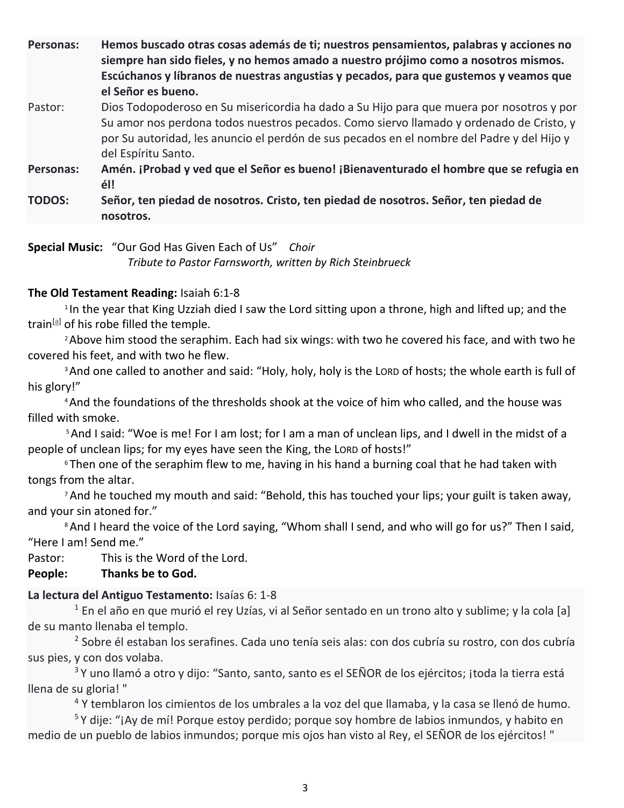**Personas: Hemos buscado otras cosas además de ti; nuestros pensamientos, palabras y acciones no siempre han sido fieles, y no hemos amado a nuestro prójimo como a nosotros mismos. Escúchanos y líbranos de nuestras angustias y pecados, para que gustemos y veamos que el Señor es bueno.**

Pastor: Dios Todopoderoso en Su misericordia ha dado a Su Hijo para que muera por nosotros y por Su amor nos perdona todos nuestros pecados. Como siervo llamado y ordenado de Cristo, y por Su autoridad, les anuncio el perdón de sus pecados en el nombre del Padre y del Hijo y del Espíritu Santo.

**Personas: Amén. ¡Probad y ved que el Señor es bueno! ¡Bienaventurado el hombre que se refugia en él!**

**TODOS: Señor, ten piedad de nosotros. Cristo, ten piedad de nosotros. Señor, ten piedad de nosotros.**

**Special Music:** "Our God Has Given Each of Us" *Choir Tribute to Pastor Farnsworth, written by Rich Steinbrueck*

## **The Old Testament Reading:** Isaiah 6:1-8

<sup>1</sup>In the year that King Uzziah died I saw the Lord sitting upon a throne, high and lifted up; and the train<sup>[\[a\]](https://www.biblegateway.com/passage/?search=Isaiah+6%3A1-8&version=ESV#fen-ESV-17771a)</sup> of his robe filled the temple.

<sup>2</sup> Above him stood the seraphim. Each had six wings: with two he covered his face, and with two he covered his feet, and with two he flew.

<sup>3</sup> And one called to another and said: "Holy, holy, holy is the LORD of hosts; the whole earth is full of his glory!"

<sup>4</sup>And the foundations of the thresholds shook at the voice of him who called, and the house was filled with smoke.

<sup>5</sup>And I said: "Woe is me! For I am lost; for I am a man of unclean lips, and I dwell in the midst of a people of unclean lips; for my eyes have seen the King, the LORD of hosts!"

<sup>6</sup> Then one of the seraphim flew to me, having in his hand a burning coal that he had taken with tongs from the altar.

<sup>7</sup> And he touched my mouth and said: "Behold, this has touched your lips; your guilt is taken away, and your sin atoned for."

<sup>8</sup> And I heard the voice of the Lord saying, "Whom shall I send, and who will go for us?" Then I said, "Here I am! Send me."

Pastor: This is the Word of the Lord.

### **People: Thanks be to God.**

## **La lectura del Antiguo Testamento:** Isaías 6: 1-8

<sup>1</sup> En el año en que murió el rey Uzías, vi al Señor sentado en un trono alto y sublime; y la cola [a] de su manto llenaba el templo.

2 Sobre él estaban los serafines. Cada uno tenía seis alas: con dos cubría su rostro, con dos cubría sus pies, y con dos volaba.

<sup>3</sup> Y uno llamó a otro y dijo: "Santo, santo, santo es el SEÑOR de los ejércitos; ¡toda la tierra está llena de su gloria! "

<sup>4</sup> Y temblaron los cimientos de los umbrales a la voz del que llamaba, y la casa se llenó de humo.

<sup>5</sup>Y dije: "¡Ay de mí! Porque estoy perdido; porque soy hombre de labios inmundos, y habito en medio de un pueblo de labios inmundos; porque mis ojos han visto al Rey, el SEÑOR de los ejércitos! "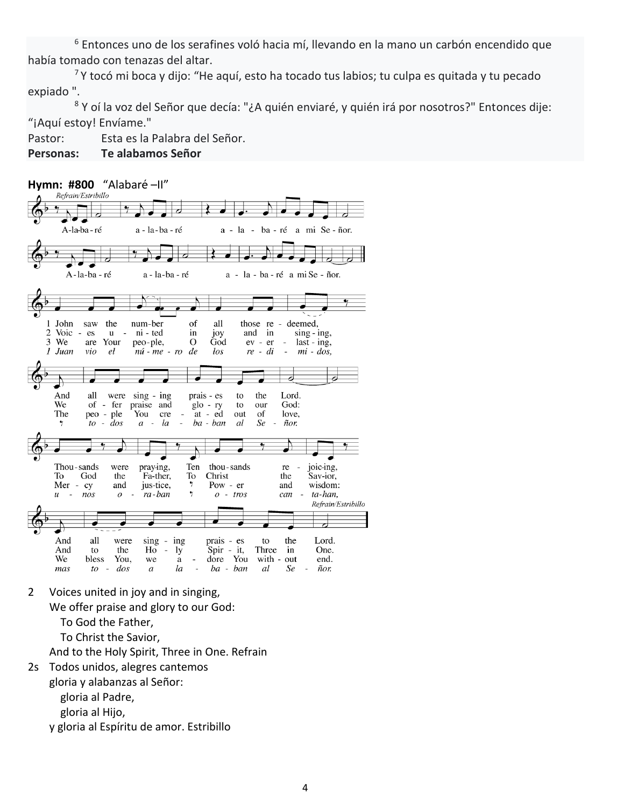<sup>6</sup> Entonces uno de los serafines voló hacia mí, llevando en la mano un carbón encendido que había tomado con tenazas del altar.

 $7$ Y tocó mi boca y dijo: "He aquí, esto ha tocado tus labios; tu culpa es quitada y tu pecado expiado ".

8 Y oí la voz del Señor que decía: "¿A quién enviaré, y quién irá por nosotros?" Entonces dije: "¡Aquí estoy! Envíame."

Pastor: Esta es la Palabra del Señor.

### **Personas: Te alabamos Señor**



2 Voices united in joy and in singing,

We offer praise and glory to our God:

To God the Father,

To Christ the Savior,

And to the Holy Spirit, Three in One. Refrain

2s Todos unidos, alegres cantemos

gloria y alabanzas al Señor:

gloria al Padre,

gloria al Hijo,

y gloria al Espíritu de amor. Estribillo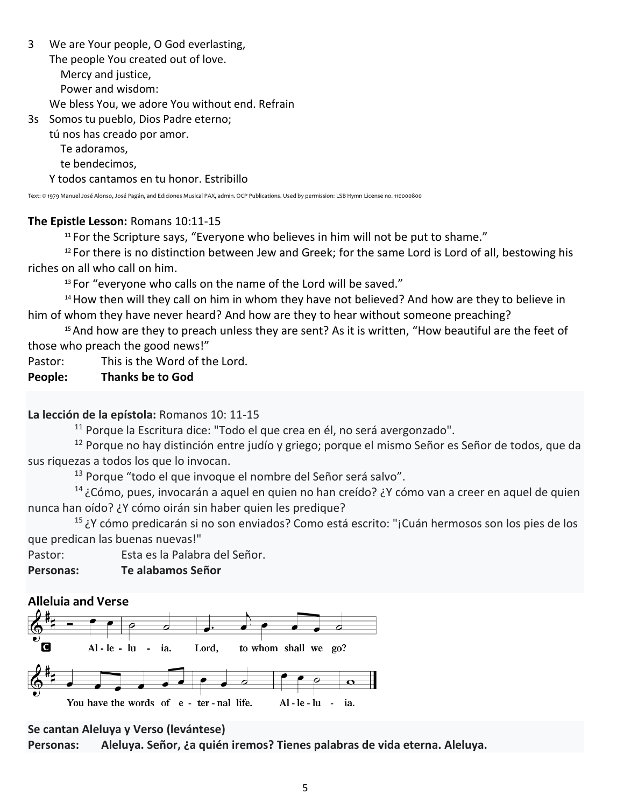- 3 We are Your people, O God everlasting, The people You created out of love. Mercy and justice, Power and wisdom: We bless You, we adore You without end. Refrain
- 3s Somos tu pueblo, Dios Padre eterno; tú nos has creado por amor.

Te adoramos,

te bendecimos,

Y todos cantamos en tu honor. Estribillo

Text: © 1979 Manuel José Alonso, José Pagán, and Ediciones Musical PAX, admin. OCP Publications. Used by permission: LSB Hymn License no. 110000800

## **The Epistle Lesson:** Romans 10:11-15

 $11$  For the Scripture says, "Everyone who believes in him will not be put to shame."

<sup>12</sup> For there is no distinction between Jew and Greek; for the same Lord is Lord of all, bestowing his riches on all who call on him.

 $13$  For "everyone who calls on the name of the Lord will be saved."

<sup>14</sup> How then will they call on him in whom they have not believed? And how are they to believe in him of whom they have never heard? And how are they to hear without someone preaching?

<sup>15</sup> And how are they to preach unless they are sent? As it is written, "How beautiful are the feet of those who preach the good news!"

Pastor: This is the Word of the Lord.

**People: Thanks be to God**

# **La lección de la epístola:** Romanos 10: 11-15

<sup>11</sup> Porque la Escritura dice: "Todo el que crea en él, no será avergonzado".

<sup>12</sup> Porque no hay distinción entre judío y griego; porque el mismo Señor es Señor de todos, que da sus riquezas a todos los que lo invocan.

<sup>13</sup> Porque "todo el que invoque el nombre del Señor será salvo".

<sup>14</sup>¿Cómo, pues, invocarán a aquel en quien no han creído? ¿Y cómo van a creer en aquel de quien nunca han oído? ¿Y cómo oirán sin haber quien les predique?

<sup>15</sup>¿Y cómo predicarán si no son enviados? Como está escrito: "¡Cuán hermosos son los pies de los que predican las buenas nuevas!"

Pastor: Esta es la Palabra del Señor.

**Personas: Te alabamos Señor**

# **Alleluia and Verse**



## **Se cantan Aleluya y Verso (levántese)**

**Personas: Aleluya. Señor, ¿a quién iremos? Tienes palabras de vida eterna. Aleluya.**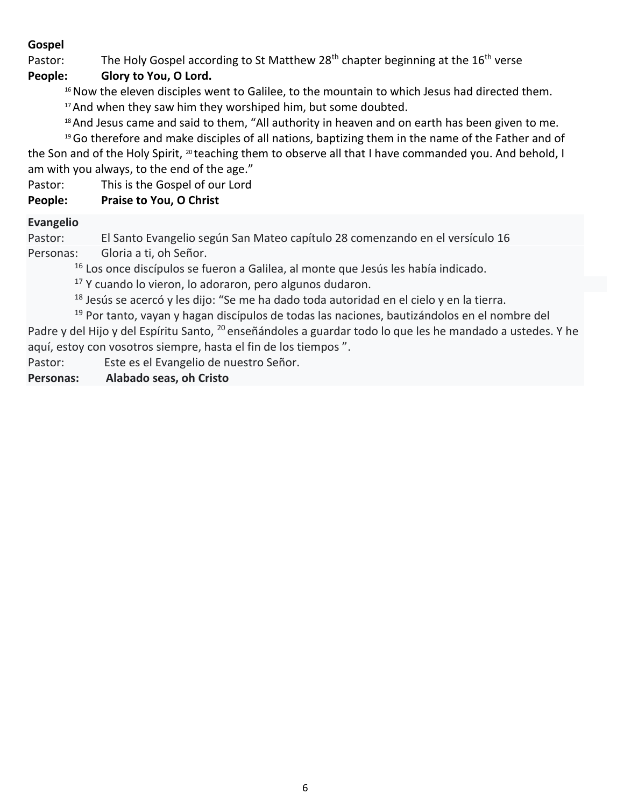## **Gospel**

Pastor: The Holy Gospel according to St Matthew  $28<sup>th</sup>$  chapter beginning at the  $16<sup>th</sup>$  verse

# **People: Glory to You, O Lord.**

- <sup>16</sup> Now the eleven disciples went to Galilee, to the mountain to which Jesus had directed them.
- <sup>17</sup> And when they saw him they worshiped him, but some doubted.

<sup>18</sup> And Jesus came and said to them, "All authority in heaven and on earth has been given to me.

<sup>19</sup>Go therefore and make disciples of all nations, baptizing them in the name of the Father and of the Son and of the Holy Spirit, <sup>20</sup> teaching them to observe all that I have commanded you. And behold, I am with you always, to the end of the age."

Pastor: This is the Gospel of our Lord

# **People: Praise to You, O Christ**

## **Evangelio**

Pastor: El Santo Evangelio según San Mateo capítulo 28 comenzando en el versículo 16 Personas: Gloria a ti, oh Señor.

<sup>16</sup> Los once discípulos se fueron a Galilea, al monte que Jesús les había indicado.

 $17$  Y cuando lo vieron, lo adoraron, pero algunos dudaron.

 $18$  Jesús se acercó y les dijo: "Se me ha dado toda autoridad en el cielo y en la tierra.

 $19$  Por tanto, vayan y hagan discípulos de todas las naciones, bautizándolos en el nombre del Padre y del Hijo y del Espíritu Santo, <sup>20</sup> enseñándoles a guardar todo lo que les he mandado a ustedes. Y he aquí, estoy con vosotros siempre, hasta el fin de los tiempos ".

Pastor: Este es el Evangelio de nuestro Señor.

**Personas: Alabado seas, oh Cristo**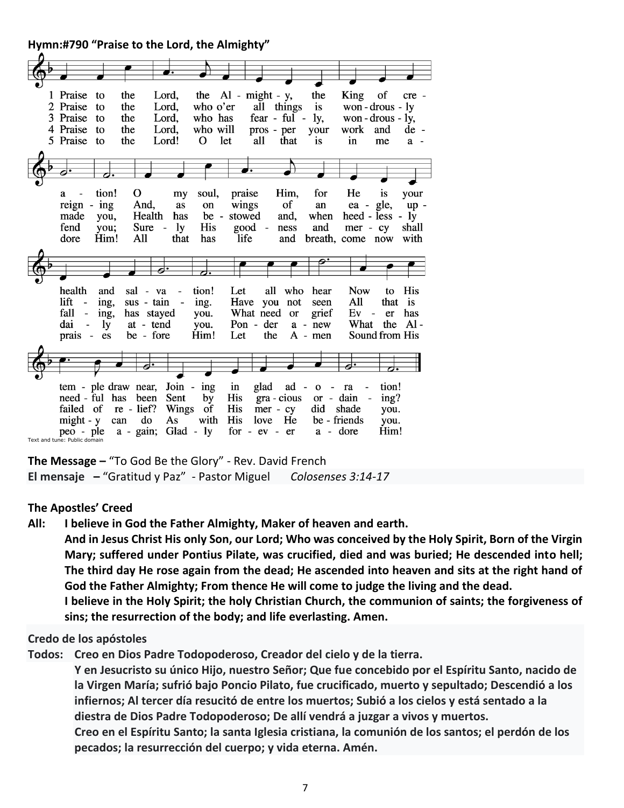**Hymn:#790 "Praise to the Lord, the Almighty"** 

|  | 1 Praise                                  | to        | the          | Lord,                          |              |               | the $Al - might - y$ , | the                                                                  | King                           | of             | cre -   |
|--|-------------------------------------------|-----------|--------------|--------------------------------|--------------|---------------|------------------------|----------------------------------------------------------------------|--------------------------------|----------------|---------|
|  | 2 Praise                                  | to        | the          | Lord,                          | who o'er     |               | all things             | is                                                                   | won-drous-ly                   |                |         |
|  |                                           |           |              |                                |              |               |                        |                                                                      |                                |                |         |
|  | 3 Praise                                  | to        | the          | Lord,                          | who has      |               | fear - ful -           | ly,                                                                  | won - $drous - ly$ ,           |                |         |
|  | 4 Praise                                  | to        | the          | Lord,                          | who will     |               | pros - per             | your                                                                 | work                           | and            | de -    |
|  | 5 Praise                                  | to        | the          | Lord!                          | Ω            | let           | all<br>that            | is                                                                   | in                             | me             | $a -$   |
|  |                                           |           |              |                                |              |               |                        |                                                                      |                                |                |         |
|  |                                           |           |              |                                |              |               |                        |                                                                      |                                |                |         |
|  |                                           |           |              |                                |              |               |                        |                                                                      |                                |                |         |
|  |                                           |           |              |                                |              |               |                        |                                                                      |                                |                |         |
|  | a                                         | tion!     | Ő            | my                             | soul,        | praise        | Him,                   | for                                                                  | He                             | <i>is</i>      | your    |
|  | reign                                     | $-$ ing   | And,         | as                             | on           | wings         | of                     | an                                                                   |                                | ea - gle,      | $up -$  |
|  | made                                      |           | Health       | has                            | $be -$       | stowed        | and,                   | when                                                                 | heed - less - ly               |                |         |
|  |                                           | you,      |              |                                |              |               |                        |                                                                      |                                |                |         |
|  | fend                                      | you;      | Sure         | 1y<br>$\overline{\phantom{a}}$ | <b>His</b>   | $good -$      | ness                   | and                                                                  | $mer - cy$                     |                | shall   |
|  | dore                                      | Him!      | All          | that                           | has          | life          | and                    |                                                                      | breath, come now               |                | with    |
|  |                                           |           |              |                                |              |               |                        |                                                                      |                                |                |         |
|  |                                           |           |              |                                |              |               |                        |                                                                      |                                |                |         |
|  |                                           |           |              |                                |              |               |                        |                                                                      |                                |                |         |
|  |                                           |           |              |                                |              |               |                        |                                                                      |                                |                |         |
|  | health                                    | and       | sal - va     |                                | tion!        | Let           | all<br>who             | hear                                                                 | <b>Now</b>                     | to             | His     |
|  | lift<br>$\overline{\phantom{0}}$          | ing,      | sus - tain   | $\overline{\phantom{a}}$       | ing.         | Have          | you<br>not             | seen                                                                 | All                            | that           | is      |
|  | fall<br>$\overline{\phantom{0}}$          | ing,      |              | has stayed                     | you.         |               | What need<br>or        | grief                                                                | Ev<br>$\overline{\phantom{a}}$ | er             | has     |
|  | dai<br>$\overline{\phantom{0}}$           | <b>ly</b> | at - tend    |                                | you.         | Pon - der     |                        | $a - new$                                                            | What                           |                | the Al- |
|  | prais -                                   | es        | be - fore    |                                | Him!         | Let           | the                    | $A - men$                                                            |                                | Sound from His |         |
|  |                                           |           |              |                                |              |               |                        |                                                                      |                                |                |         |
|  |                                           |           |              |                                |              |               |                        |                                                                      |                                |                |         |
|  |                                           |           |              |                                |              |               |                        |                                                                      |                                |                |         |
|  |                                           |           |              |                                |              |               |                        |                                                                      |                                |                |         |
|  | tem - ple draw near,                      |           |              |                                | Join - $ing$ | in            | glad<br>ad             | $\mathbf{o}$<br>$\overline{\phantom{a}}$<br>$\overline{\phantom{m}}$ | ra                             | tion!          |         |
|  | need - ful has                            |           | been         | Sent                           | by           | <b>His</b>    | gra - cious            | or - dain                                                            |                                | ing?           |         |
|  | failed of                                 |           | $re - lief?$ | Wings                          | of           | His           | $mer - cy$             | did                                                                  | shade                          | you.           |         |
|  |                                           |           | do           |                                | with         | His           | He<br>love             |                                                                      | be - friends                   |                |         |
|  | $might - y$                               |           | can          | As                             |              |               |                        |                                                                      |                                | you.           |         |
|  | peo - ple<br>Text and tune: Public domain |           | $a - gain;$  | Glad -                         | 1y           | for $-ev$ $-$ | er                     | a                                                                    | - dore                         | Him!           |         |
|  |                                           |           |              |                                |              |               |                        |                                                                      |                                |                |         |

**The Message –** "To God Be the Glory" - Rev. David French **El mensaje –** "Gratitud y Paz" - Pastor Miguel *Colosenses 3:14-17*

**The Apostles' Creed**

**All: I believe in God the Father Almighty, Maker of heaven and earth.** 

**And in Jesus Christ His only Son, our Lord; Who was conceived by the Holy Spirit, Born of the Virgin Mary; suffered under Pontius Pilate, was crucified, died and was buried; He descended into hell; The third day He rose again from the dead; He ascended into heaven and sits at the right hand of God the Father Almighty; From thence He will come to judge the living and the dead.**

**I believe in the Holy Spirit; the holy Christian Church, the communion of saints; the forgiveness of sins; the resurrection of the body; and life everlasting. Amen.**

#### **Credo de los apóstoles**

**Todos: Creo en Dios Padre Todopoderoso, Creador del cielo y de la tierra.**

**Y en Jesucristo su único Hijo, nuestro Señor; Que fue concebido por el Espíritu Santo, nacido de la Virgen María; sufrió bajo Poncio Pilato, fue crucificado, muerto y sepultado; Descendió a los infiernos; Al tercer día resucitó de entre los muertos; Subió a los cielos y está sentado a la diestra de Dios Padre Todopoderoso; De allí vendrá a juzgar a vivos y muertos.**

**Creo en el Espíritu Santo; la santa Iglesia cristiana, la comunión de los santos; el perdón de los pecados; la resurrección del cuerpo; y vida eterna. Amén.**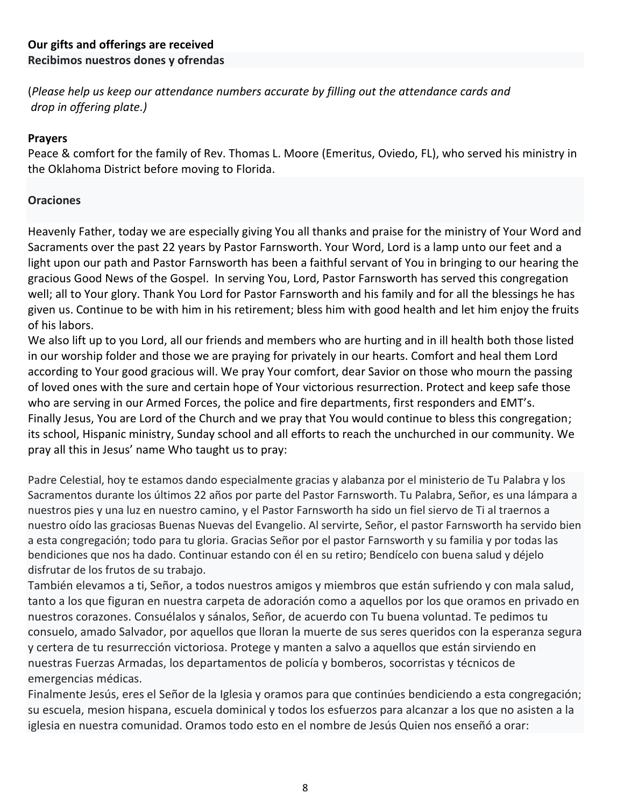(*Please help us keep our attendance numbers accurate by filling out the attendance cards and drop in offering plate.)*

### **Prayers**

Peace & comfort for the family of Rev. Thomas L. Moore (Emeritus, Oviedo, FL), who served his ministry in the Oklahoma District before moving to Florida.

### **Oraciones**

Heavenly Father, today we are especially giving You all thanks and praise for the ministry of Your Word and Sacraments over the past 22 years by Pastor Farnsworth. Your Word, Lord is a lamp unto our feet and a light upon our path and Pastor Farnsworth has been a faithful servant of You in bringing to our hearing the gracious Good News of the Gospel. In serving You, Lord, Pastor Farnsworth has served this congregation well; all to Your glory. Thank You Lord for Pastor Farnsworth and his family and for all the blessings he has given us. Continue to be with him in his retirement; bless him with good health and let him enjoy the fruits of his labors.

We also lift up to you Lord, all our friends and members who are hurting and in ill health both those listed in our worship folder and those we are praying for privately in our hearts. Comfort and heal them Lord according to Your good gracious will. We pray Your comfort, dear Savior on those who mourn the passing of loved ones with the sure and certain hope of Your victorious resurrection. Protect and keep safe those who are serving in our Armed Forces, the police and fire departments, first responders and EMT's. Finally Jesus, You are Lord of the Church and we pray that You would continue to bless this congregation; its school, Hispanic ministry, Sunday school and all efforts to reach the unchurched in our community. We pray all this in Jesus' name Who taught us to pray:

Padre Celestial, hoy te estamos dando especialmente gracias y alabanza por el ministerio de Tu Palabra y los Sacramentos durante los últimos 22 años por parte del Pastor Farnsworth. Tu Palabra, Señor, es una lámpara a nuestros pies y una luz en nuestro camino, y el Pastor Farnsworth ha sido un fiel siervo de Ti al traernos a nuestro oído las graciosas Buenas Nuevas del Evangelio. Al servirte, Señor, el pastor Farnsworth ha servido bien a esta congregación; todo para tu gloria. Gracias Señor por el pastor Farnsworth y su familia y por todas las bendiciones que nos ha dado. Continuar estando con él en su retiro; Bendícelo con buena salud y déjelo disfrutar de los frutos de su trabajo.

También elevamos a ti, Señor, a todos nuestros amigos y miembros que están sufriendo y con mala salud, tanto a los que figuran en nuestra carpeta de adoración como a aquellos por los que oramos en privado en nuestros corazones. Consuélalos y sánalos, Señor, de acuerdo con Tu buena voluntad. Te pedimos tu consuelo, amado Salvador, por aquellos que lloran la muerte de sus seres queridos con la esperanza segura y certera de tu resurrección victoriosa. Protege y manten a salvo a aquellos que están sirviendo en nuestras Fuerzas Armadas, los departamentos de policía y bomberos, socorristas y técnicos de emergencias médicas.

Finalmente Jesús, eres el Señor de la Iglesia y oramos para que continúes bendiciendo a esta congregación; su escuela, mesion hispana, escuela dominical y todos los esfuerzos para alcanzar a los que no asisten a la iglesia en nuestra comunidad. Oramos todo esto en el nombre de Jesús Quien nos enseñó a orar: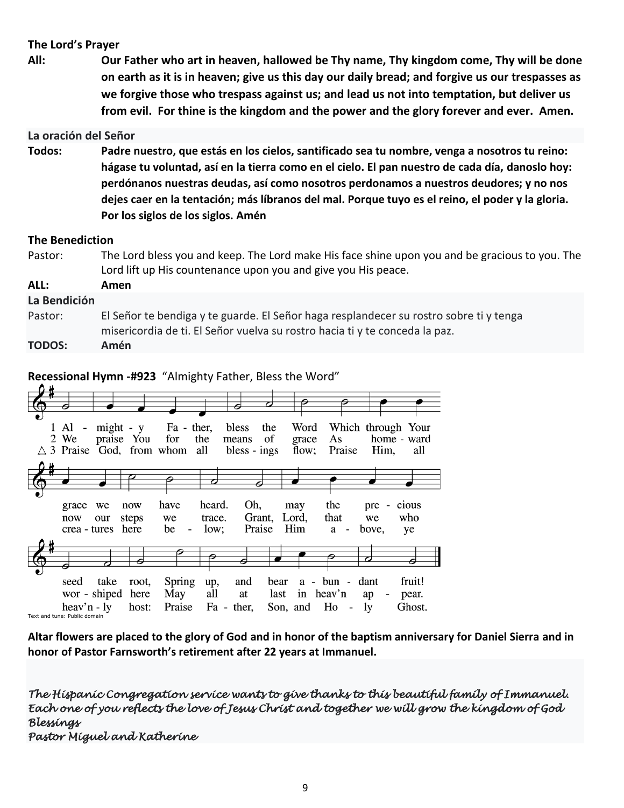### **The Lord's Prayer**

**All: Our Father who art in heaven, hallowed be Thy name, Thy kingdom come, Thy will be done on earth as it is in heaven; give us this day our daily bread; and forgive us our trespasses as we forgive those who trespass against us; and lead us not into temptation, but deliver us from evil. For thine is the kingdom and the power and the glory forever and ever. Amen.**

#### **La oración del Señor**

**Todos: Padre nuestro, que estás en los cielos, santificado sea tu nombre, venga a nosotros tu reino: hágase tu voluntad, así en la tierra como en el cielo. El pan nuestro de cada día, danoslo hoy: perdónanos nuestras deudas, así como nosotros perdonamos a nuestros deudores; y no nos dejes caer en la tentación; más líbranos del mal. Porque tuyo es el reino, el poder y la gloria. Por los siglos de los siglos. Amén**

#### **The Benediction**

| Pastor:       | The Lord bless you and keep. The Lord make His face shine upon you and be gracious to you. The                                                                        |  |  |  |  |  |
|---------------|-----------------------------------------------------------------------------------------------------------------------------------------------------------------------|--|--|--|--|--|
|               | Lord lift up His countenance upon you and give you His peace.                                                                                                         |  |  |  |  |  |
| ALL:          | Amen                                                                                                                                                                  |  |  |  |  |  |
| La Bendición  |                                                                                                                                                                       |  |  |  |  |  |
| Pastor:       | El Señor te bendiga y te guarde. El Señor haga resplandecer su rostro sobre ti y tenga<br>misericordia de ti. El Señor vuelva su rostro hacia ti y te conceda la paz. |  |  |  |  |  |
| <b>TODOS:</b> | Amén                                                                                                                                                                  |  |  |  |  |  |

#### **Recessional Hymn -#923** "Almighty Father, Bless the Word"



**Altar flowers are placed to the glory of God and in honor of the baptism anniversary for Daniel Sierra and in honor of Pastor Farnsworth's retirement after 22 years at Immanuel.** 

*The Hispanic Congregation service wants to give thanks to this beautiful family of Immanuel. Each one of you reflects the love of Jesus Christ and together we will grow the kingdom of God Blessings Pastor Miguel and Katherine*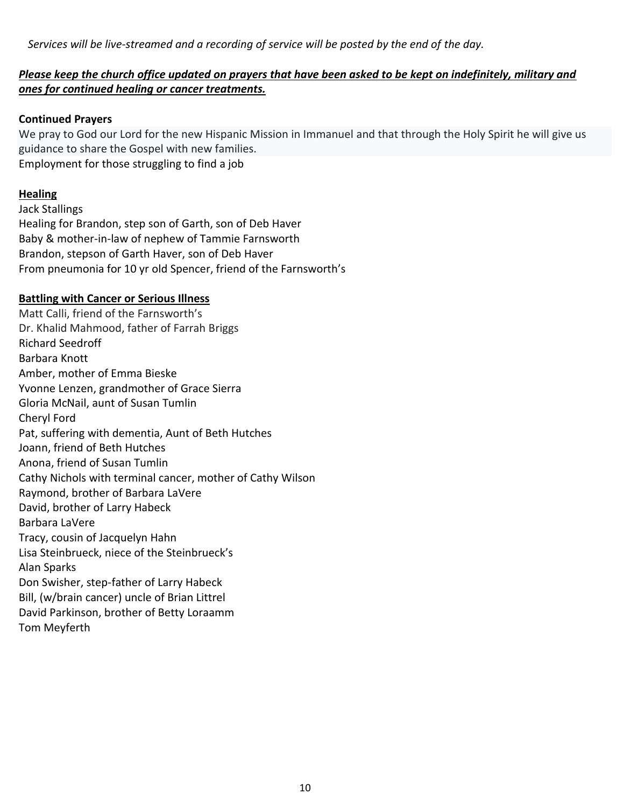*Services will be live-streamed and a recording of service will be posted by the end of the day.* 

## *Please keep the church office updated on prayers that have been asked to be kept on indefinitely, military and ones for continued healing or cancer treatments.*

#### **Continued Prayers**

We pray to God our Lord for the new Hispanic Mission in Immanuel and that through the Holy Spirit he will give us guidance to share the Gospel with new families. Employment for those struggling to find a job

### **Healing**

Jack Stallings Healing for Brandon, step son of Garth, son of Deb Haver Baby & mother-in-law of nephew of Tammie Farnsworth Brandon, stepson of Garth Haver, son of Deb Haver From pneumonia for 10 yr old Spencer, friend of the Farnsworth's

#### **Battling with Cancer or Serious Illness**

Matt Calli, friend of the Farnsworth's Dr. Khalid Mahmood, father of Farrah Briggs Richard Seedroff Barbara Knott Amber, mother of Emma Bieske Yvonne Lenzen, grandmother of Grace Sierra Gloria McNail, aunt of Susan Tumlin Cheryl Ford Pat, suffering with dementia, Aunt of Beth Hutches Joann, friend of Beth Hutches Anona, friend of Susan Tumlin Cathy Nichols with terminal cancer, mother of Cathy Wilson Raymond, brother of Barbara LaVere David, brother of Larry Habeck Barbara LaVere Tracy, cousin of Jacquelyn Hahn Lisa Steinbrueck, niece of the Steinbrueck's Alan Sparks Don Swisher, step-father of Larry Habeck Bill, (w/brain cancer) uncle of Brian Littrel David Parkinson, brother of Betty Loraamm Tom Meyferth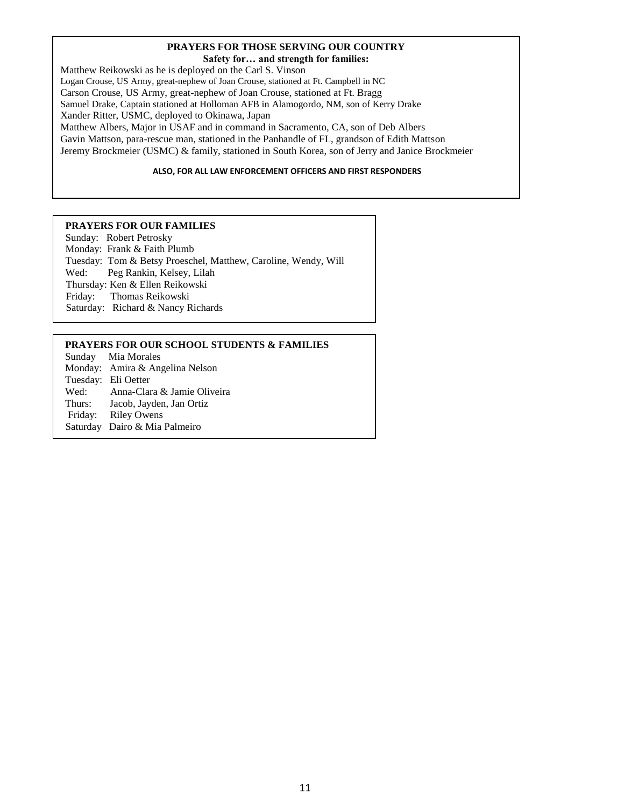#### **PRAYERS FOR THOSE SERVING OUR COUNTRY Safety for… and strength for families:**

Matthew Reikowski as he is deployed on the Carl S. Vinson Logan Crouse, US Army, great-nephew of Joan Crouse, stationed at Ft. Campbell in NC Carson Crouse, US Army, great-nephew of Joan Crouse, stationed at Ft. Bragg Samuel Drake, Captain stationed at Holloman AFB in Alamogordo, NM, son of Kerry Drake Xander Ritter, USMC, deployed to Okinawa, Japan Matthew Albers, Major in USAF and in command in Sacramento, CA, son of Deb Albers Gavin Mattson, para-rescue man, stationed in the Panhandle of FL, grandson of Edith Mattson

Jeremy Brockmeier (USMC) & family, stationed in South Korea, son of Jerry and Janice Brockmeier

#### **ALSO, FOR ALL LAW ENFORCEMENT OFFICERS AND FIRST RESPONDERS**

#### **PRAYERS FOR OUR FAMILIES**

Sunday: Robert Petrosky Monday: Frank & Faith Plumb Tuesday: Tom & Betsy Proeschel, Matthew, Caroline, Wendy, Will Wed: Peg Rankin, Kelsey, Lilah Thursday: Ken & Ellen Reikowski Friday: Thomas Reikowski Saturday: Richard & Nancy Richards

#### **PRAYERS FOR OUR SCHOOL STUDENTS & FAMILIES**

Sunday Mia Morales Monday: Amira & Angelina Nelson Tuesday: Eli Oetter Wed: Anna-Clara & Jamie Oliveira Thurs: Jacob, Jayden, Jan Ortiz Friday: Riley Owens Saturday Dairo & Mia Palmeiro